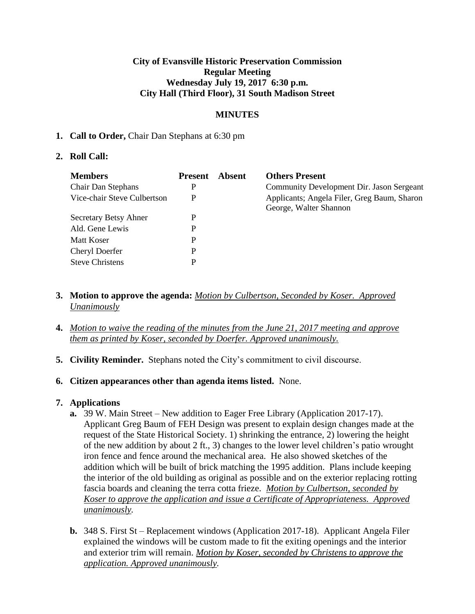## **City of Evansville Historic Preservation Commission Regular Meeting Wednesday July 19, 2017 6:30 p.m. City Hall (Third Floor), 31 South Madison Street**

# **MINUTES**

## **1. Call to Order,** Chair Dan Stephans at 6:30 pm

## **2. Roll Call:**

| <b>Members</b>              | <b>Present</b> | Absent | <b>Others Present</b>                                                 |
|-----------------------------|----------------|--------|-----------------------------------------------------------------------|
| <b>Chair Dan Stephans</b>   | P              |        | Community Development Dir. Jason Sergeant                             |
| Vice-chair Steve Culbertson | P              |        | Applicants; Angela Filer, Greg Baum, Sharon<br>George, Walter Shannon |
| Secretary Betsy Ahner       | P              |        |                                                                       |
| Ald. Gene Lewis             | P              |        |                                                                       |
| Matt Koser                  | P              |        |                                                                       |
| Cheryl Doerfer              | P              |        |                                                                       |
| <b>Steve Christens</b>      | P              |        |                                                                       |

- **3. Motion to approve the agenda:** *Motion by Culbertson, Seconded by Koser. Approved Unanimously*
- **4.** *Motion to waive the reading of the minutes from the June 21, 2017 meeting and approve them as printed by Koser, seconded by Doerfer. Approved unanimously.*
- **5. Civility Reminder.** Stephans noted the City's commitment to civil discourse.
- **6. Citizen appearances other than agenda items listed.** None.

# **7. Applications**

- **a.** 39 W. Main Street New addition to Eager Free Library (Application 2017-17). Applicant Greg Baum of FEH Design was present to explain design changes made at the request of the State Historical Society. 1) shrinking the entrance, 2) lowering the height of the new addition by about 2 ft., 3) changes to the lower level children's patio wrought iron fence and fence around the mechanical area. He also showed sketches of the addition which will be built of brick matching the 1995 addition. Plans include keeping the interior of the old building as original as possible and on the exterior replacing rotting fascia boards and cleaning the terra cotta frieze. *Motion by Culbertson, seconded by Koser to approve the application and issue a Certificate of Appropriateness. Approved unanimously.*
- **b.** 348 S. First St Replacement windows (Application 2017-18). Applicant Angela Filer explained the windows will be custom made to fit the exiting openings and the interior and exterior trim will remain. *Motion by Koser, seconded by Christens to approve the application. Approved unanimously.*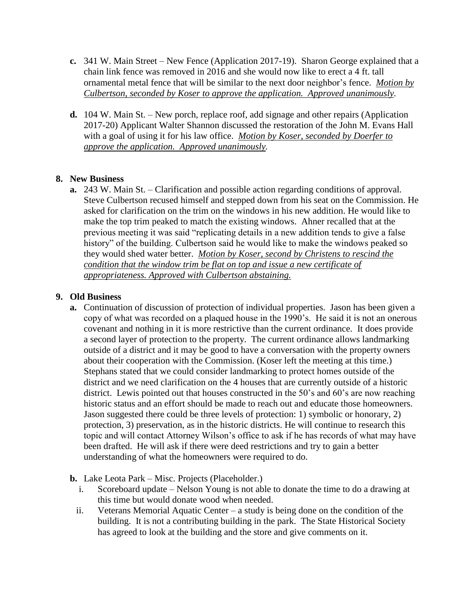- **c.** 341 W. Main Street New Fence (Application 2017-19). Sharon George explained that a chain link fence was removed in 2016 and she would now like to erect a 4 ft. tall ornamental metal fence that will be similar to the next door neighbor's fence. *Motion by Culbertson, seconded by Koser to approve the application. Approved unanimously.*
- **d.** 104 W. Main St. New porch, replace roof, add signage and other repairs (Application 2017-20) Applicant Walter Shannon discussed the restoration of the John M. Evans Hall with a goal of using it for his law office. *Motion by Koser, seconded by Doerfer to approve the application. Approved unanimously.*

# **8. New Business**

**a.** 243 W. Main St. – Clarification and possible action regarding conditions of approval. Steve Culbertson recused himself and stepped down from his seat on the Commission. He asked for clarification on the trim on the windows in his new addition. He would like to make the top trim peaked to match the existing windows. Ahner recalled that at the previous meeting it was said "replicating details in a new addition tends to give a false history" of the building. Culbertson said he would like to make the windows peaked so they would shed water better. *Motion by Koser, second by Christens to rescind the condition that the window trim be flat on top and issue a new certificate of appropriateness. Approved with Culbertson abstaining.*

# **9. Old Business**

- **a.** Continuation of discussion of protection of individual properties. Jason has been given a copy of what was recorded on a plaqued house in the 1990's. He said it is not an onerous covenant and nothing in it is more restrictive than the current ordinance. It does provide a second layer of protection to the property. The current ordinance allows landmarking outside of a district and it may be good to have a conversation with the property owners about their cooperation with the Commission. (Koser left the meeting at this time.) Stephans stated that we could consider landmarking to protect homes outside of the district and we need clarification on the 4 houses that are currently outside of a historic district. Lewis pointed out that houses constructed in the 50's and 60's are now reaching historic status and an effort should be made to reach out and educate those homeowners. Jason suggested there could be three levels of protection: 1) symbolic or honorary, 2) protection, 3) preservation, as in the historic districts. He will continue to research this topic and will contact Attorney Wilson's office to ask if he has records of what may have been drafted. He will ask if there were deed restrictions and try to gain a better understanding of what the homeowners were required to do.
- **b.** Lake Leota Park Misc. Projects (Placeholder.)
	- i. Scoreboard update Nelson Young is not able to donate the time to do a drawing at this time but would donate wood when needed.
	- ii. Veterans Memorial Aquatic Center a study is being done on the condition of the building. It is not a contributing building in the park. The State Historical Society has agreed to look at the building and the store and give comments on it.